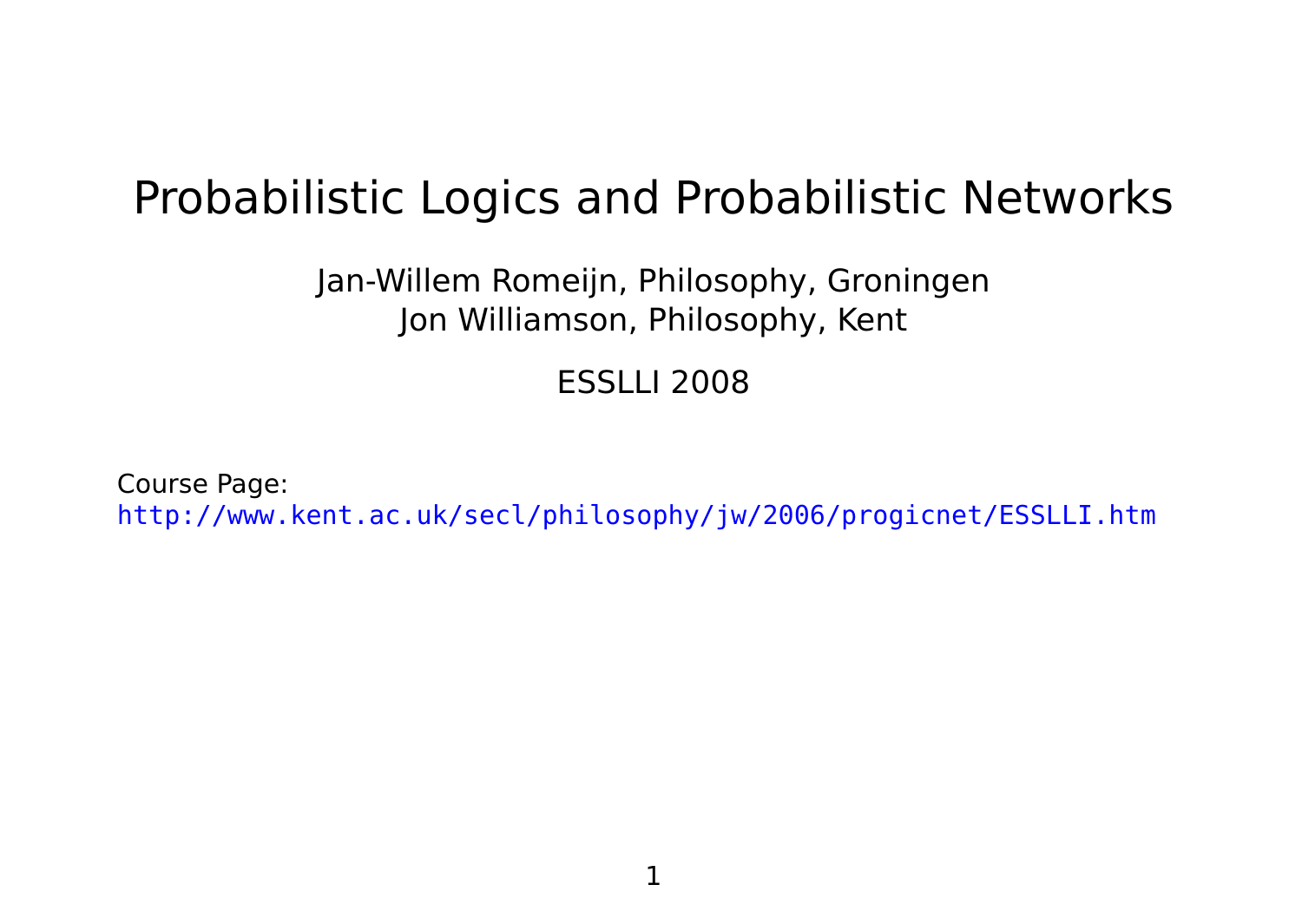# Probabilistic Logics and Probabilistic Networks

Jan-Willem Romeijn, Philosophy, Groningen Jon Williamson, Philosophy, Kent

ESSLLI 2008

Course Page: <http://www.kent.ac.uk/secl/philosophy/jw/2006/progicnet/ESSLLI.htm>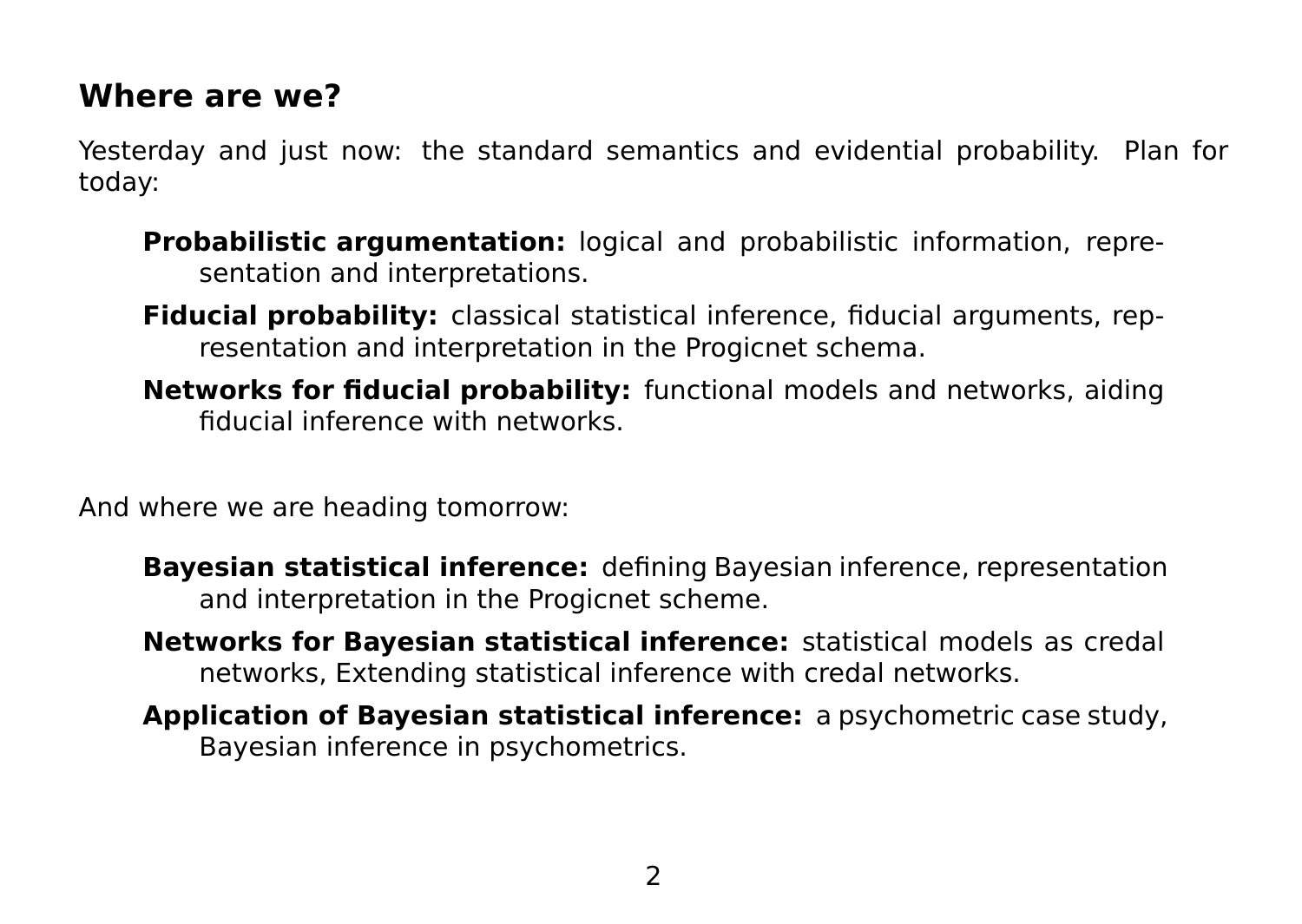### **Where are we?**

Yesterday and just now: the standard semantics and evidential probability. Plan for today:

- **Probabilistic argumentation:** logical and probabilistic information, representation and interpretations.
- **Fiducial probability:** classical statistical inference, fiducial arguments, representation and interpretation in the Progicnet schema.
- **Networks for fiducial probability:** functional models and networks, aiding fiducial inference with networks.

And where we are heading tomorrow:

- **Bayesian statistical inference:** defining Bayesian inference, representation and interpretation in the Progicnet scheme.
- **Networks for Bayesian statistical inference:** statistical models as credal networks, Extending statistical inference with credal networks.
- **Application of Bayesian statistical inference:** a psychometric case study, Bayesian inference in psychometrics.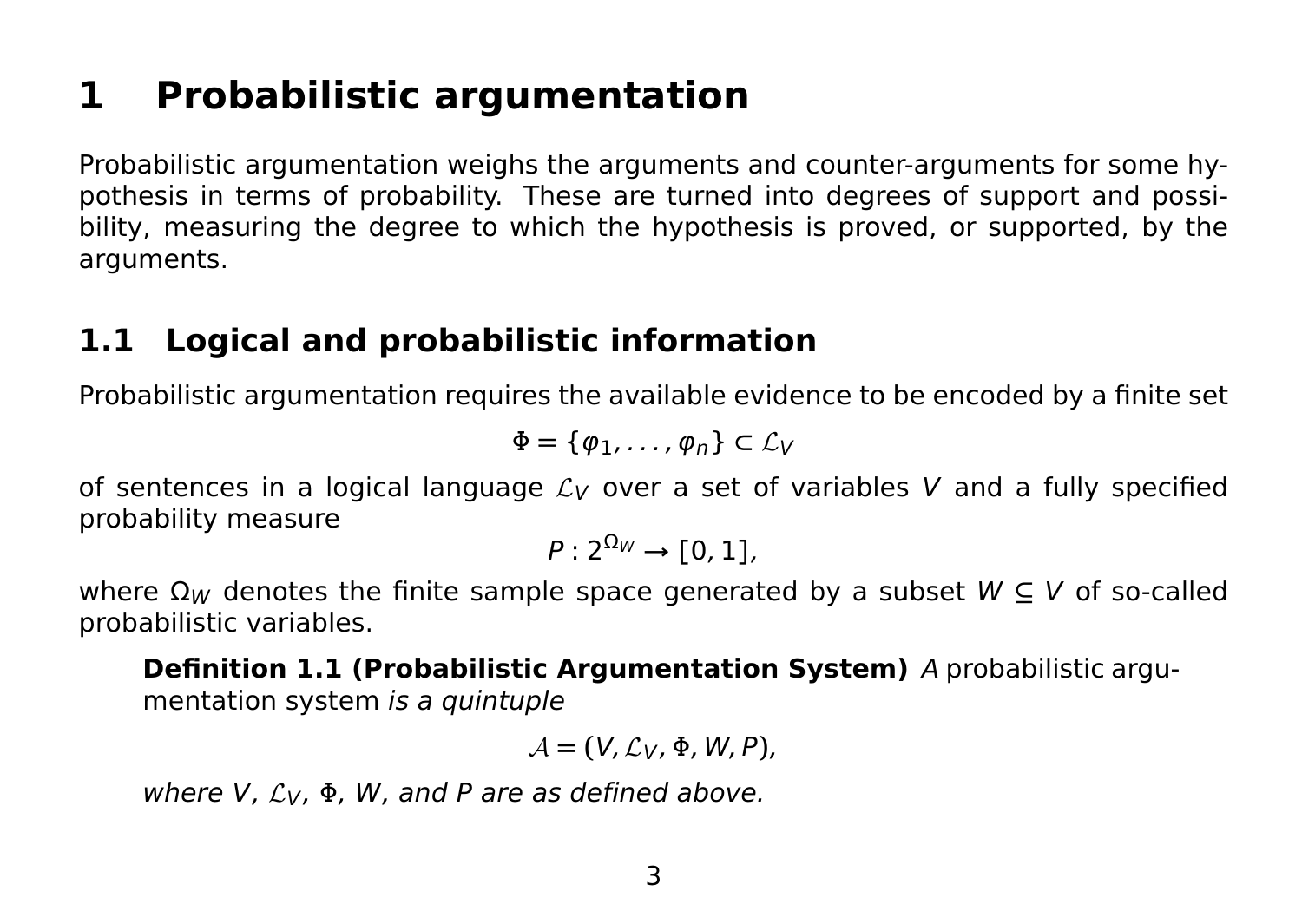# **1 Probabilistic argumentation**

Probabilistic argumentation weighs the arguments and counter-arguments for some hypothesis in terms of probability. These are turned into degrees of support and possibility, measuring the degree to which the hypothesis is proved, or supported, by the arguments.

# **1.1 Logical and probabilistic information**

Probabilistic argumentation requires the available evidence to be encoded by a finite set

$$
\Phi = \{\varphi_1, \ldots, \varphi_n\} \subset \mathcal{L}_V
$$

of sentences in a logical language  $\mathcal{L}_V$  over a set of variables V and a fully specified probability measure

$$
P:2^{\Omega_W}\to [0,1],
$$

where  $\Omega_W$  denotes the finite sample space generated by a subset  $W \subseteq V$  of so-called probabilistic variables.

**Definition 1.1 (Probabilistic Argumentation System)** A probabilistic argumentation system is a quintuple

$$
\mathcal{A}=(V,\mathcal{L}_V,\Phi,W,P),
$$

where V,  $\mathcal{L}_V$ ,  $\Phi$ , W, and P are as defined above.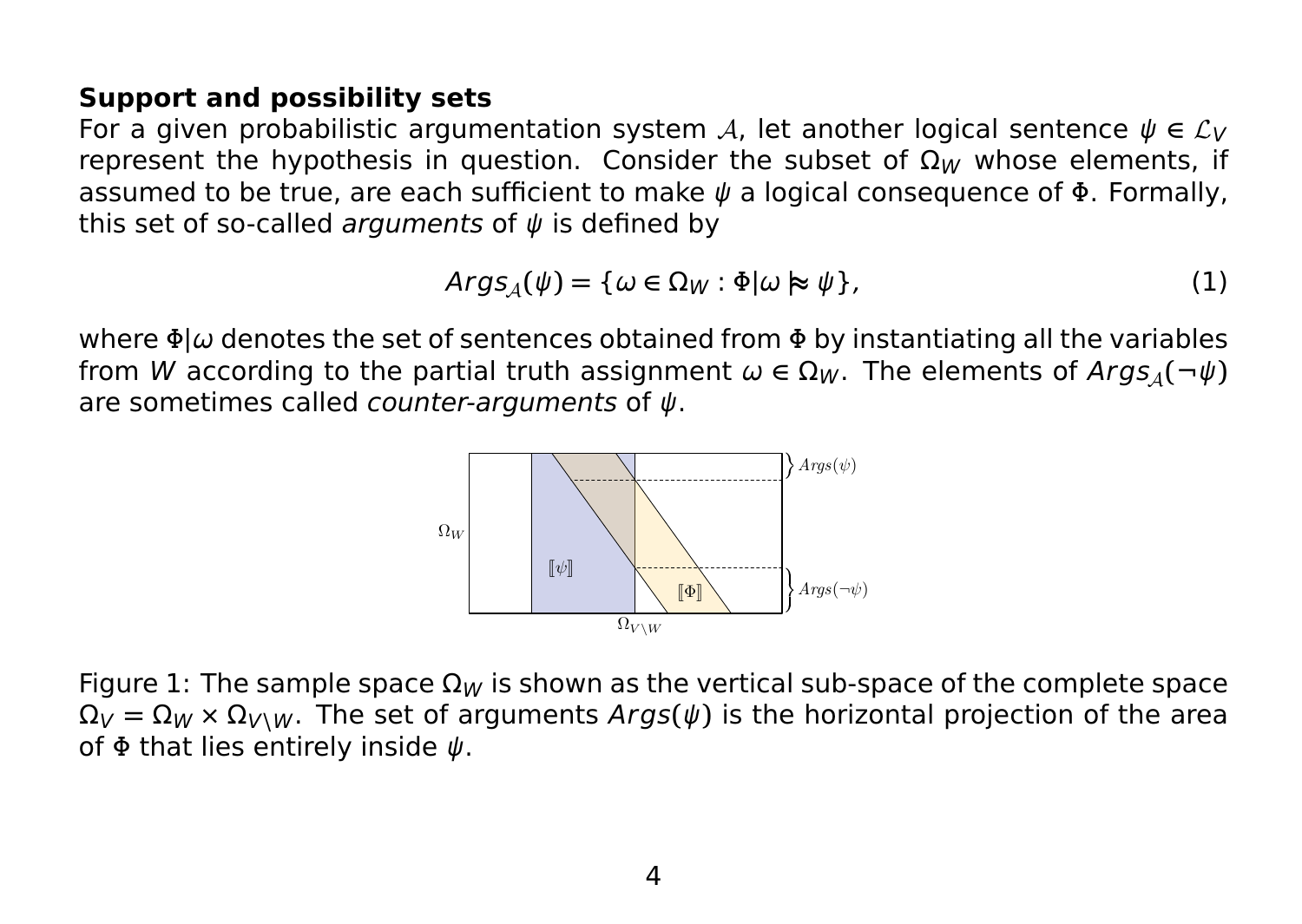#### **Support and possibility sets**

For a given probabilistic argumentation system A, let another logical sentence  $\psi \in \mathcal{L}_V$ represent the hypothesis in question. Consider the subset of  $\Omega_W$  whose elements, if assumed to be true, are each sufficient to make  $\psi$  a logical consequence of  $\Phi$ . Formally, this set of so-called arguments of  $\psi$  is defined by

$$
ArgS_{\mathcal{A}}(\psi) = \{ \omega \in \Omega_W : \Phi | \omega \approx \psi \},\tag{1}
$$

where  $\Phi|\omega$  denotes the set of sentences obtained from  $\Phi$  by instantiating all the variables from W according to the partial truth assignment  $\omega \in \Omega_W$ . The elements of  $\text{Arg}_A(\neg \psi)$ are sometimes called *counter-arguments* of  $\psi$ .



Figure 1: The sample space  $\Omega_W$  is shown as the vertical sub-space of the complete space  $\Omega_V = \Omega_W \times \Omega_{V\setminus W}$ . The set of arguments Args( $\psi$ ) is the horizontal projection of the area of  $\Phi$  that lies entirely inside  $\psi$ .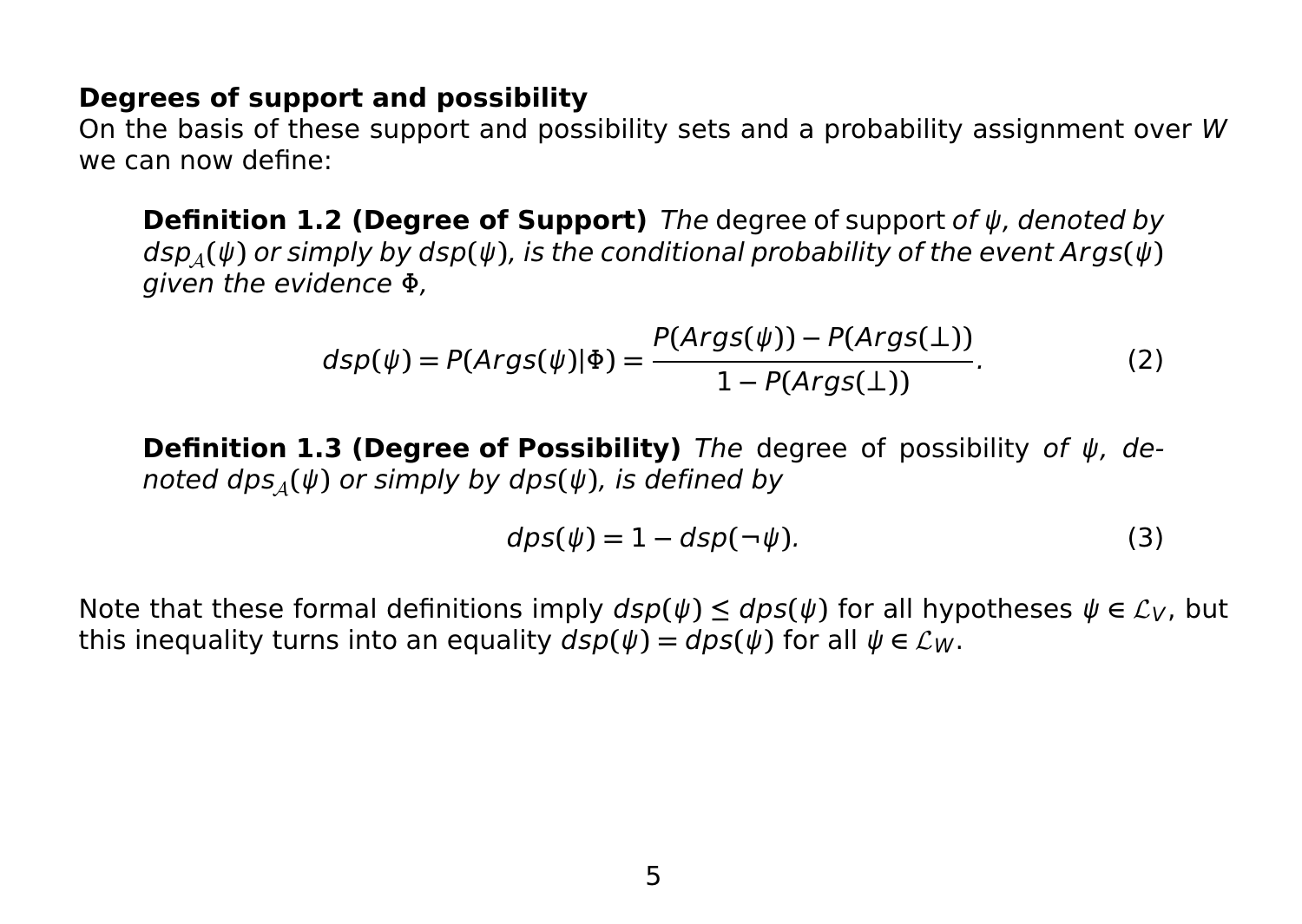#### **Degrees of support and possibility**

On the basis of these support and possibility sets and a probability assignment over W we can now define:

**Definition 1.2 (Degree of Support)** The degree of support of ψ, denoted by  $\frac{d}{d}$ **(** $\psi$ **)** or simply by dsp( $\psi$ ), is the conditional probability of the event Args( $\psi$ ) given the evidence  $\Phi$ .

$$
dsp(\psi) = P(Args(\psi)|\Phi) = \frac{P(Args(\psi)) - P(Args(\bot))}{1 - P(Args(\bot))}.
$$
 (2)

**Definition 1.3 (Degree of Possibility)** The degree of possibility of ψ, denoted  $dps_A(\psi)$  or simply by  $dps(\psi)$ , is defined by

$$
dps(\psi) = 1 - dsp(\neg \psi). \tag{3}
$$

Note that these formal definitions imply  $dsp(\psi) \leq dps(\psi)$  for all hypotheses  $\psi \in \mathcal{L}_V$ , but this inequality turns into an equality  $dsp(\psi) = dps(\psi)$  for all  $\psi \in \mathcal{L}_W$ .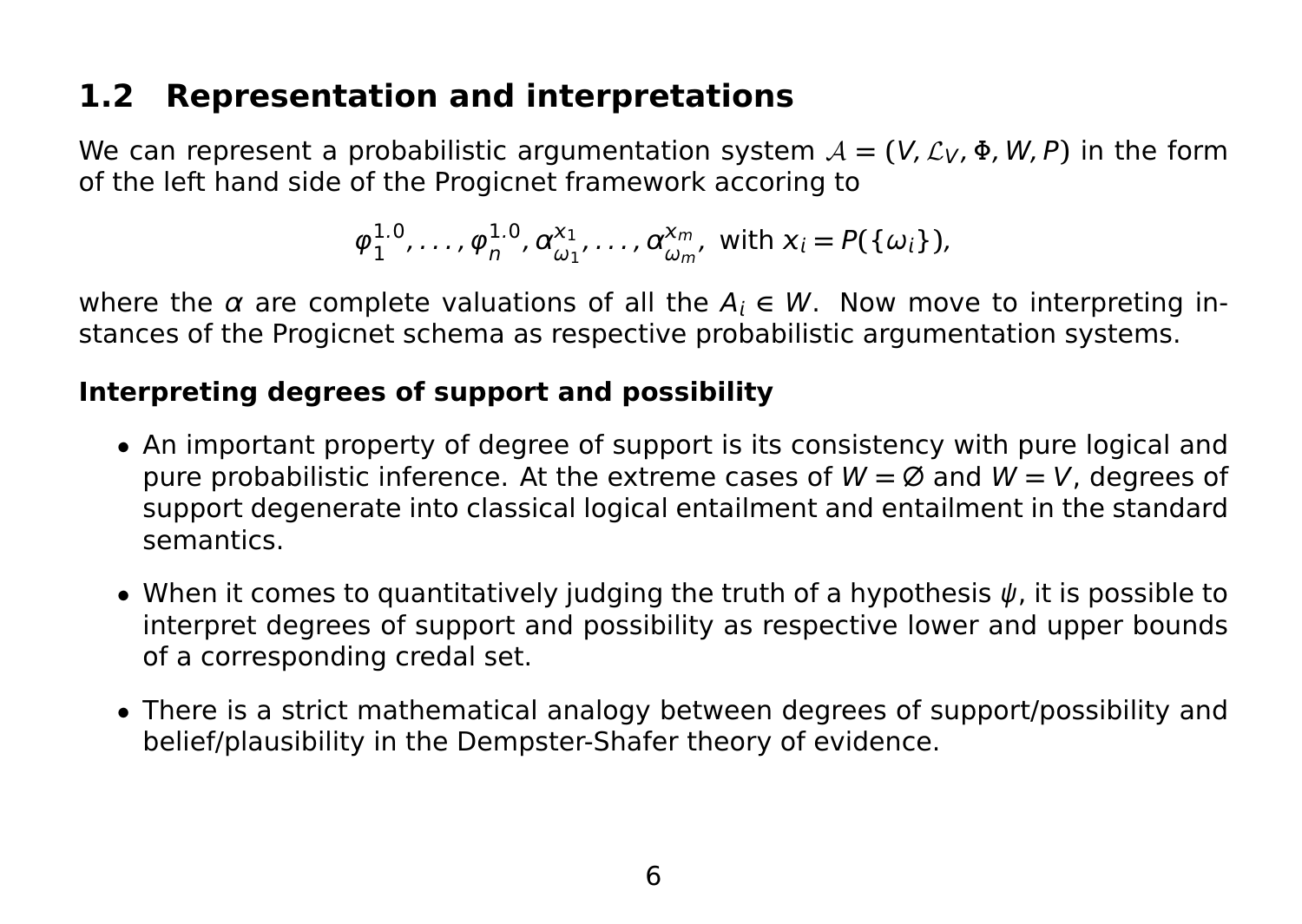# **1.2 Representation and interpretations**

We can represent a probabilistic argumentation system  $A = (V, \mathcal{L}_V, \Phi, W, P)$  in the form of the left hand side of the Progicnet framework accoring to

$$
\varphi_1^{1.0}, \ldots, \varphi_n^{1.0}, \alpha_{\omega_1}^{x_1}, \ldots, \alpha_{\omega_m}^{x_m}
$$
, with  $x_i = P(\{\omega_i\})$ ,

where the  $\alpha$  are complete valuations of all the  $A_i \in W$ . Now move to interpreting instances of the Progicnet schema as respective probabilistic argumentation systems.

#### **Interpreting degrees of support and possibility**

- An important property of degree of support is its consistency with pure logical and pure probabilistic inference. At the extreme cases of W **=** ∅ and W **=** V, degrees of support degenerate into classical logical entailment and entailment in the standard semantics.
- When it comes to quantitatively judging the truth of a hypothesis  $\psi$ , it is possible to interpret degrees of support and possibility as respective lower and upper bounds of a corresponding credal set.
- There is a strict mathematical analogy between degrees of support/possibility and belief/plausibility in the Dempster-Shafer theory of evidence.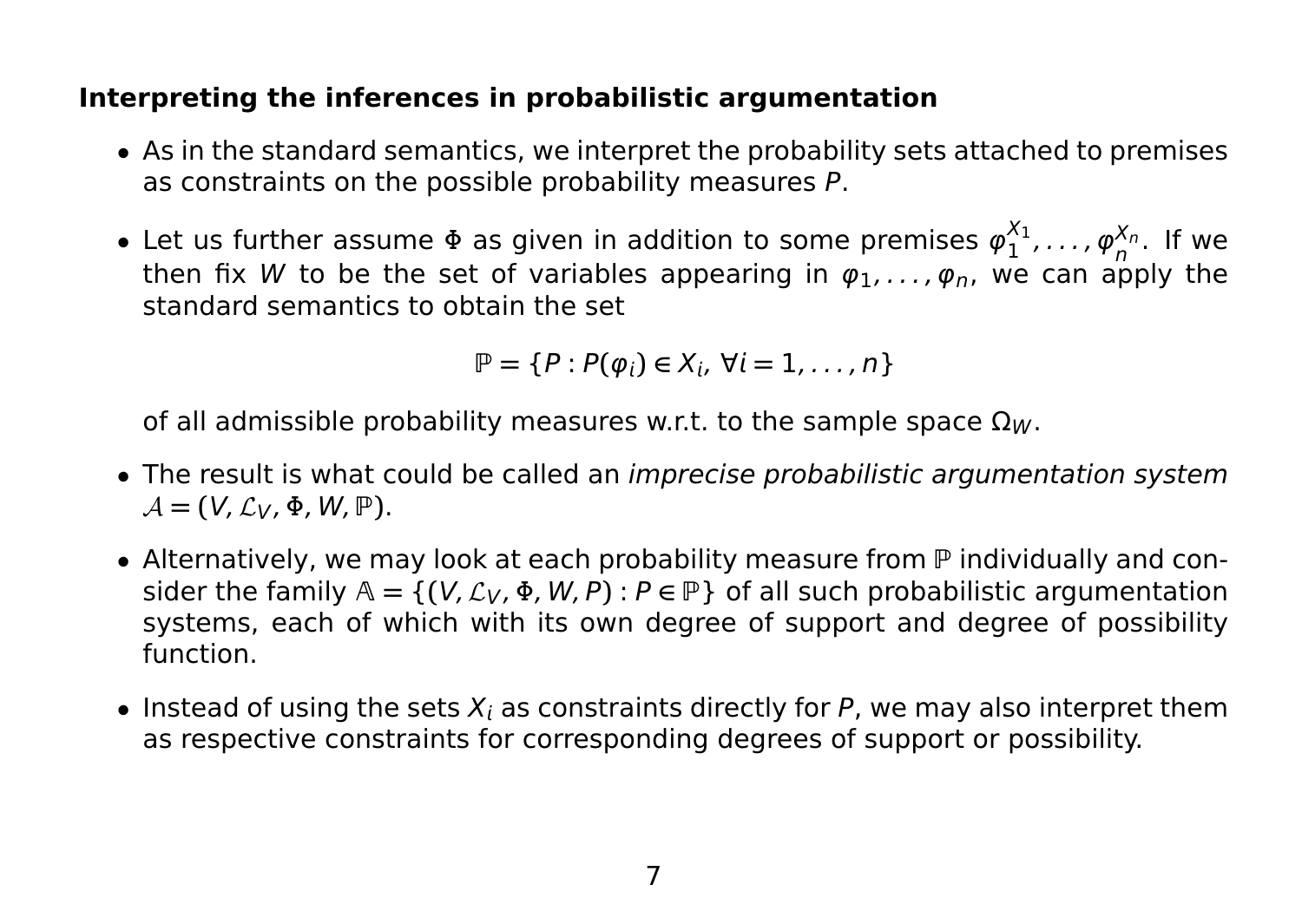#### **Interpreting the inferences in probabilistic argumentation**

- As in the standard semantics, we interpret the probability sets attached to premises as constraints on the possible probability measures P.
- Let us further assume  $\Phi$  as given in addition to some premises  $\varphi_1^{\chi_1}$  $\frac{\alpha_1}{1}, \ldots, \varphi_n^{X_n}$ . If we then fix W to be the set of variables appearing in  $\varphi_1, \ldots, \varphi_n$ , we can apply the standard semantics to obtain the set

$$
\mathbb{P} = \{P : P(\varphi_i) \in X_i, \ \forall i = 1, \ldots, n\}
$$

of all admissible probability measures w.r.t. to the sample space  $\Omega_W$ .

- The result is what could be called an *imprecise probabilistic argumentation system*  $\mathcal{A} = (V, \mathcal{L}_V, \Phi, W, \mathbb{P}).$
- Alternatively, we may look at each probability measure from  $\mathbb P$  individually and consider the family  $A = \{(V, \mathcal{L}_V, \Phi, W, P) : P \in \mathbb{P}\}\$  of all such probabilistic argumentation systems, each of which with its own degree of support and degree of possibility function.
- Instead of using the sets  $X_i$  as constraints directly for P, we may also interpret them as respective constraints for corresponding degrees of support or possibility.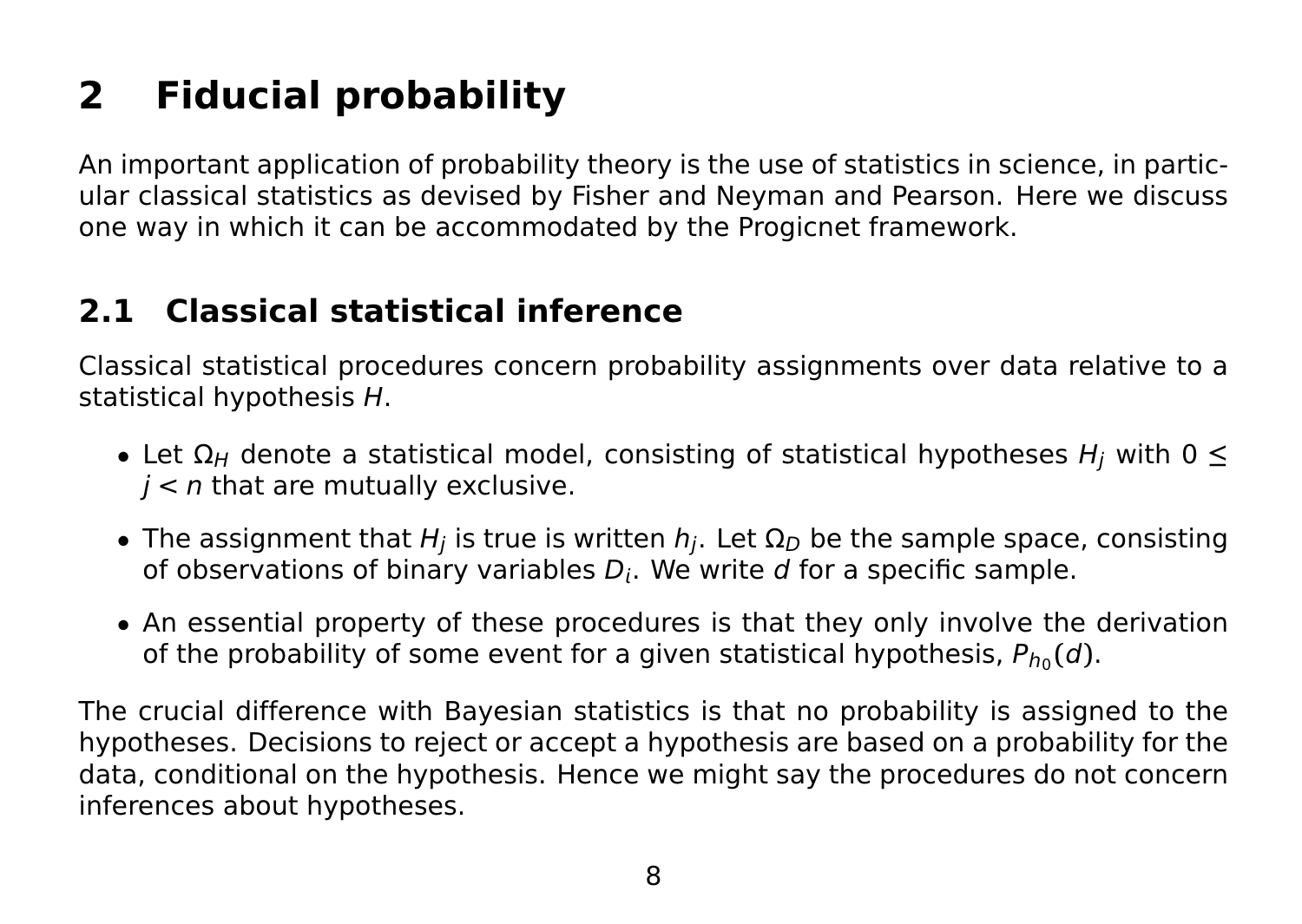# **2 Fiducial probability**

An important application of probability theory is the use of statistics in science, in particular classical statistics as devised by Fisher and Neyman and Pearson. Here we discuss one way in which it can be accommodated by the Progicnet framework.

# **2.1 Classical statistical inference**

Classical statistical procedures concern probability assignments over data relative to a statistical hypothesis H.

- Let  $\Omega_H$  denote a statistical model, consisting of statistical hypotheses  $H_i$  with 0  $\leq$  $i < n$  that are mutually exclusive.
- The assignment that  $H_j$  is true is written  $h_j$ . Let  $\Omega_D$  be the sample space, consisting of observations of binary variables  $D_i$ . We write d for a specific sample.
- An essential property of these procedures is that they only involve the derivation of the probability of some event for a given statistical hypothesis,  $P_{h_0}(d)$ .

The crucial difference with Bayesian statistics is that no probability is assigned to the hypotheses. Decisions to reject or accept a hypothesis are based on a probability for the data, conditional on the hypothesis. Hence we might say the procedures do not concern inferences about hypotheses.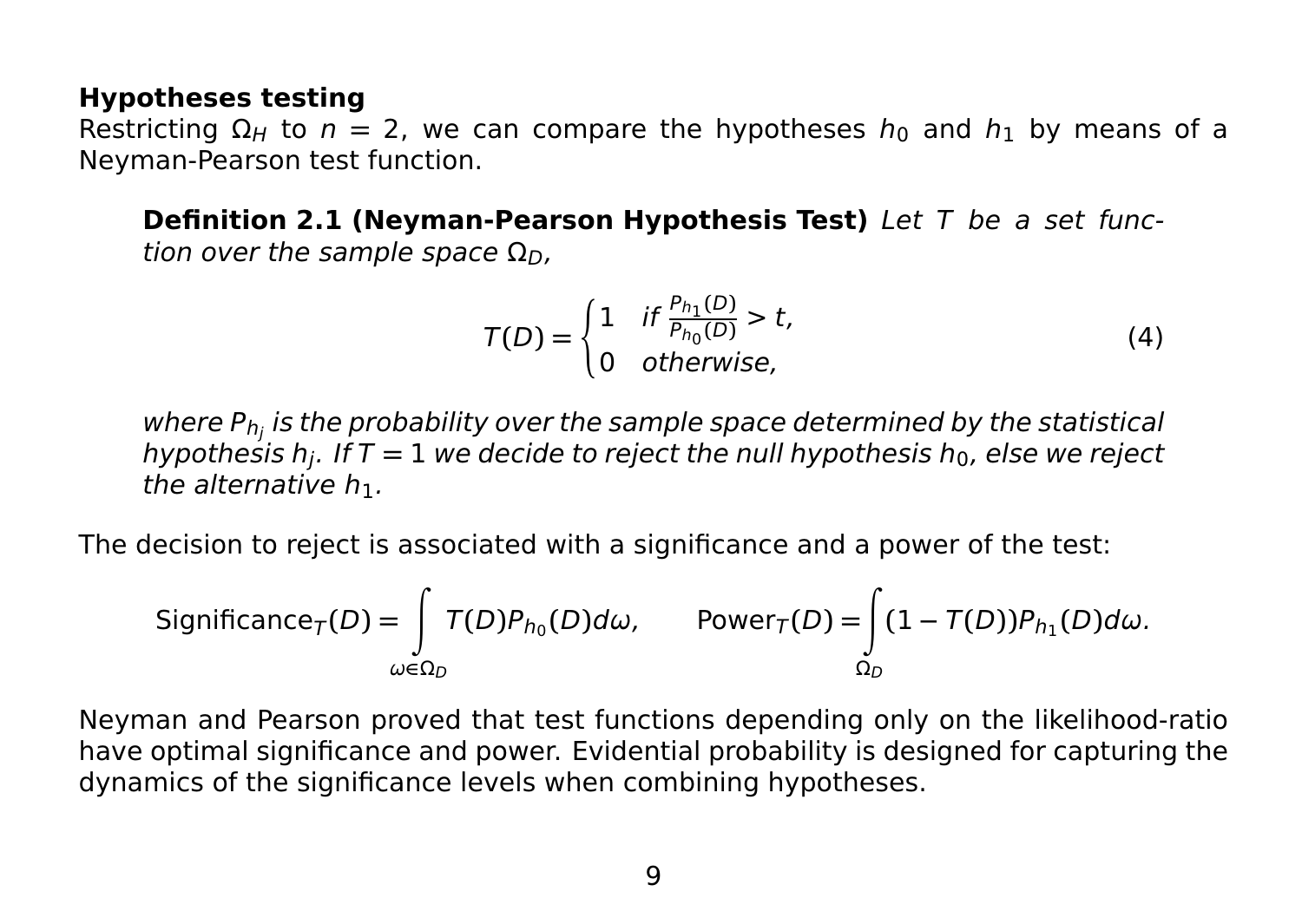#### **Hypotheses testing**

Restricting  $\Omega_H$  to  $n = 2$ , we can compare the hypotheses  $h_0$  and  $h_1$  by means of a Neyman-Pearson test function.

**Definition 2.1 (Neyman-Pearson Hypothesis Test)** Let T be a set function over the sample space  $Ω<sub>D</sub>$ ,

$$
T(D) = \begin{cases} 1 & \text{if } \frac{P_{h_1}(D)}{P_{h_0}(D)} > t, \\ 0 & \text{otherwise,} \end{cases}
$$
 (4)

where P $_{\mathsf{h}_j}$  is the probability over the sample space determined by the statistical hypothesis h<sub>j</sub>. If T = 1 we decide to reject the null hypothesis h<sub>0</sub>, else we reject the alternative  $h_1$ .

The decision to reject is associated with a significance and a power of the test:

Significance<sub>T</sub>(D) = 
$$
\int_{\omega \in \Omega_D} T(D) P_{h_0}(D) d\omega
$$
, Power<sub>T</sub>(D) =  $\int_{\Omega_D} (1 - T(D)) P_{h_1}(D) d\omega$ .

Neyman and Pearson proved that test functions depending only on the likelihood-ratio have optimal significance and power. Evidential probability is designed for capturing the dynamics of the significance levels when combining hypotheses.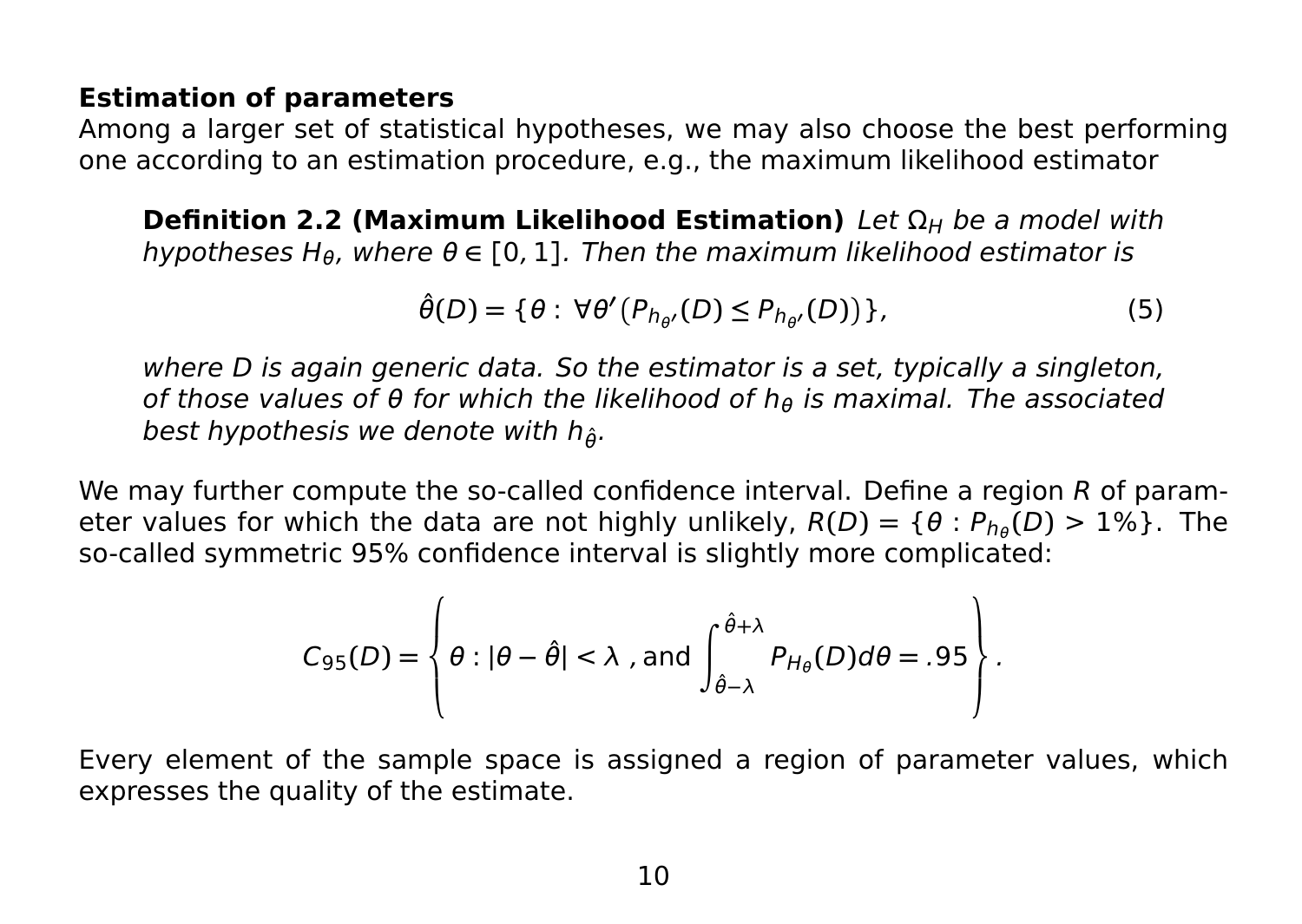#### **Estimation of parameters**

Among a larger set of statistical hypotheses, we may also choose the best performing one according to an estimation procedure, e.g., the maximum likelihood estimator

**Definition 2.2 (Maximum Likelihood Estimation)** Let  $\Omega_H$  be a model with hypotheses H<sub>θ</sub>, where  $\theta \in [0, 1]$ . Then the maximum likelihood estimator is

$$
\hat{\theta}(D) = \{ \theta : \forall \theta' (P_{h_{\theta'}}(D) \le P_{h_{\theta'}}(D)) \},\tag{5}
$$

where D is again generic data. So the estimator is a set, typically a singleton, of those values of  $\theta$  for which the likelihood of h<sub>θ</sub> is maximal. The associated best hypothesis we denote with  $h_{\hat{\theta}}$ .

We may further compute the so-called confidence interval. Define a region R of parameter values for which the data are not highly unlikely,  $R(D) = \{ \theta : P_{h_{\theta}}(D) > 1\% \}$ . The so-called symmetric 95% confidence interval is slightly more complicated:

$$
C_{95}(D) = \left\{\theta : |\theta - \hat{\theta}| < \lambda \text{ , and } \int_{\hat{\theta}-\lambda}^{\hat{\theta}+\lambda} P_{H_{\theta}}(D) d\theta = .95 \right\}.
$$

Every element of the sample space is assigned a region of parameter values, which expresses the quality of the estimate.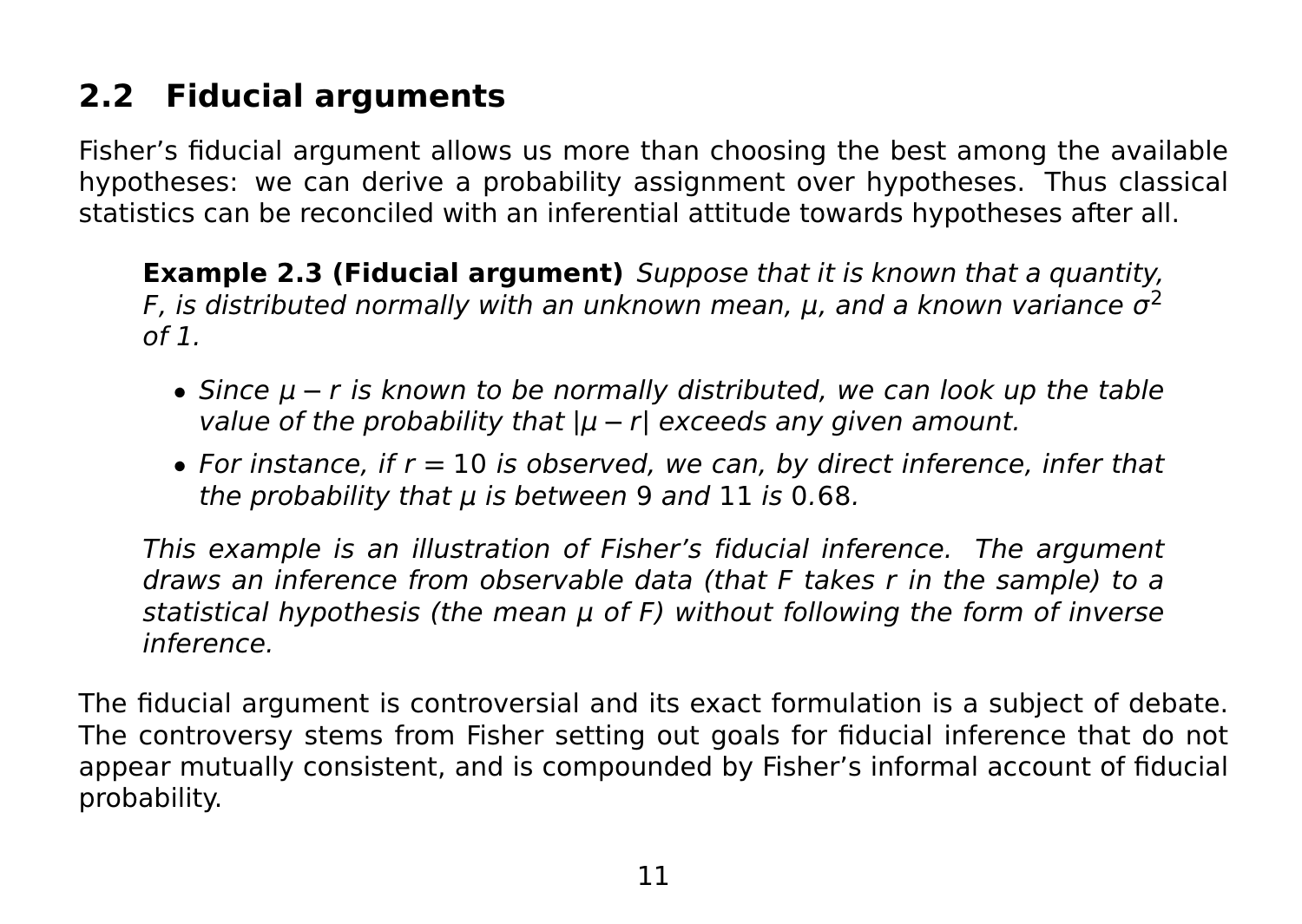# **2.2 Fiducial arguments**

Fisher's fiducial argument allows us more than choosing the best among the available hypotheses: we can derive a probability assignment over hypotheses. Thus classical statistics can be reconciled with an inferential attitude towards hypotheses after all.

**Example 2.3 (Fiducial argument)** Suppose that it is known that a quantity, F, is distributed normally with an unknown mean,  $\mu$ , and a known variance  $\sigma^2$  $of 1.$ 

- Since μ **−** r is known to be normally distributed, we can look up the table value of the probability that **|**μ **−** r**|** exceeds any given amount.
- For instance, if r **=** 10 is observed, we can, by direct inference, infer that the probability that  $\mu$  is between 9 and 11 is 0.68.

This example is an illustration of Fisher's fiducial inference. The argument draws an inference from observable data (that F takes r in the sample) to a statistical hypothesis (the mean  $\mu$  of F) without following the form of inverse inference.

The fiducial argument is controversial and its exact formulation is a subject of debate. The controversy stems from Fisher setting out goals for fiducial inference that do not appear mutually consistent, and is compounded by Fisher's informal account of fiducial probability.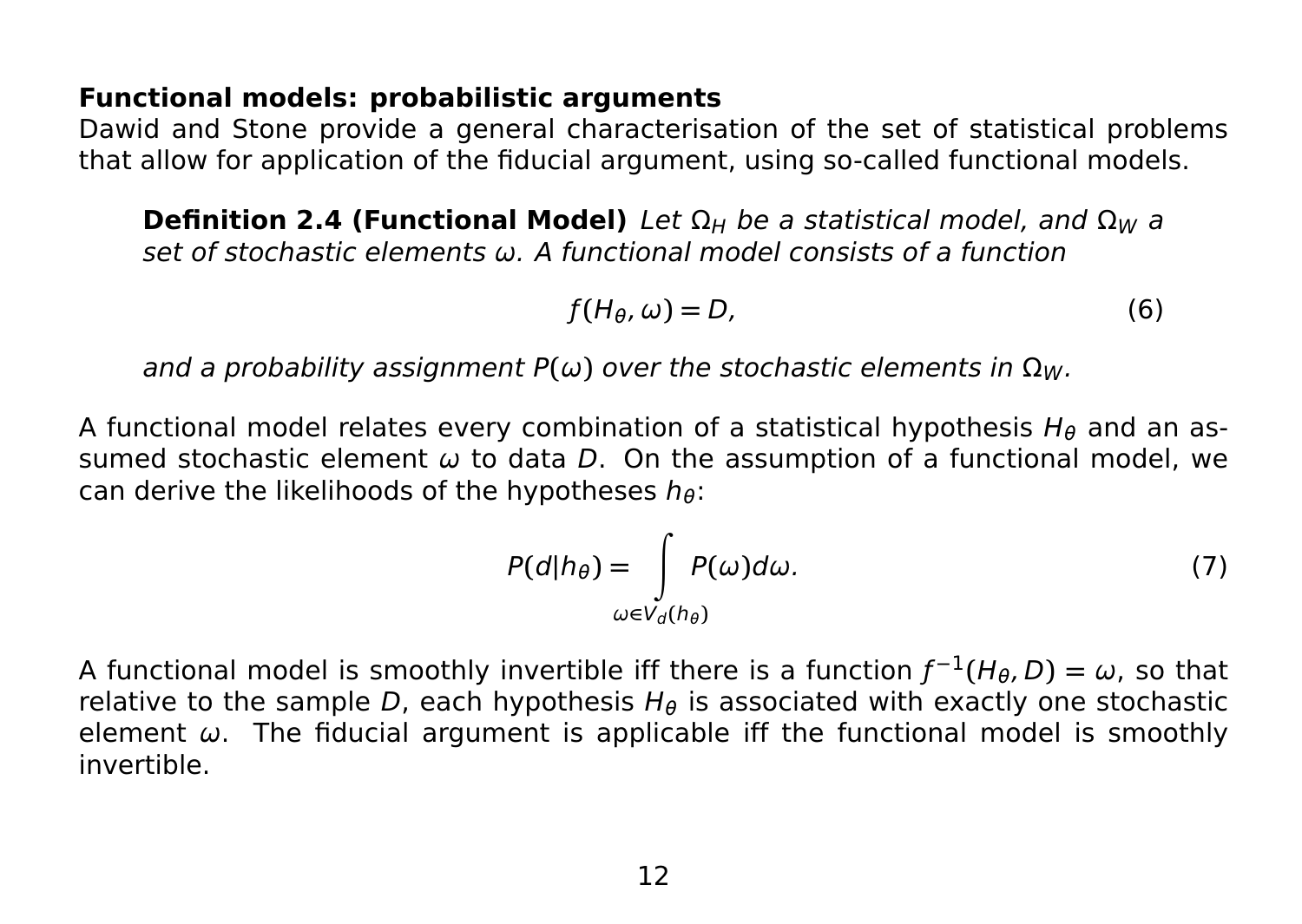#### **Functional models: probabilistic arguments**

Dawid and Stone provide a general characterisation of the set of statistical problems that allow for application of the fiducial argument, using so-called functional models.

**Definition 2.4 (Functional Model)** Let  $\Omega_H$  be a statistical model, and  $\Omega_W$  a set of stochastic elements ω. A functional model consists of a function

$$
f(H_{\theta}, \omega) = D,\tag{6}
$$

and a probability assignment  $P(\omega)$  over the stochastic elements in  $\Omega_W$ .

A functional model relates every combination of a statistical hypothesis  $H_{\theta}$  and an assumed stochastic element  $\omega$  to data D. On the assumption of a functional model, we can derive the likelihoods of the hypotheses  $h_{\theta}$ :

$$
P(d|h_{\theta}) = \int_{\omega \in V_d(h_{\theta})} P(\omega) d\omega.
$$
 (7)

A functional model is smoothly invertible iff there is a function  $f^{-1}(H_\theta,D) = \omega$ , so that relative to the sample D, each hypothesis  $H_\theta$  is associated with exactly one stochastic element  $\omega$ . The fiducial argument is applicable iff the functional model is smoothly invertible.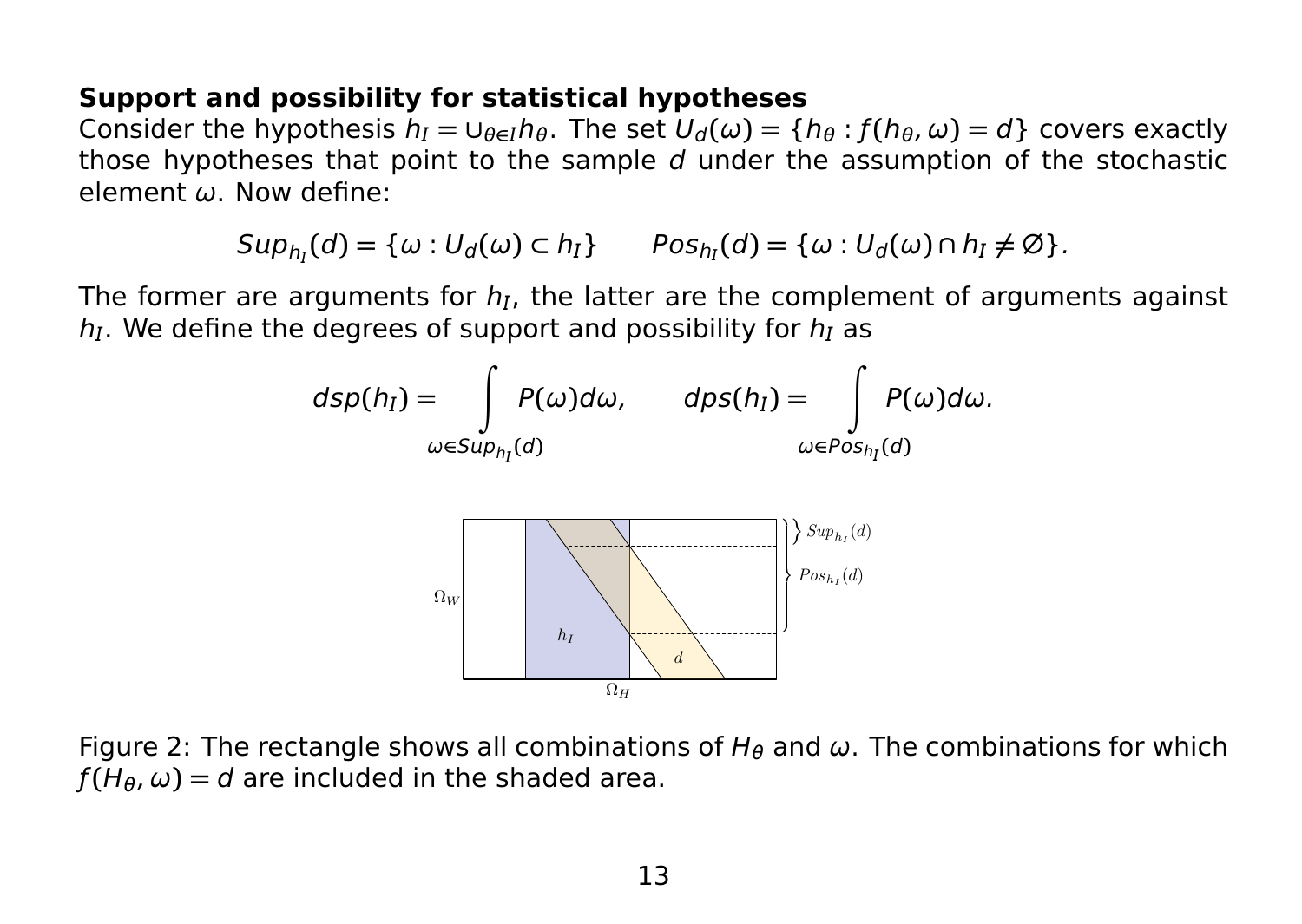#### **Support and possibility for statistical hypotheses**

Consider the hypothesis  $h_I = \cup_{\theta \in I} h_\theta$ . The set  $U_d(\omega) = \{h_\theta : f(h_\theta, \omega) = d\}$  covers exactly those hypotheses that point to the sample d under the assumption of the stochastic element ω. Now define:

 $\mathsf{Sup}_{h_l}(d) = \{ \omega : U_d(\omega) \subset h_l \}$   $\qquad \mathsf{Pos}_{h_l}(d) = \{ \omega : U_d(\omega) \cap h_l \neq \emptyset \}.$ 

The former are arguments for  $h_l$ , the latter are the complement of arguments against  $h<sub>I</sub>$ . We define the degrees of support and possibility for  $h<sub>I</sub>$  as



Figure 2: The rectangle shows all combinations of  $H_\theta$  and  $\omega$ . The combinations for which  $f(H_{\theta}, \omega) = d$  are included in the shaded area.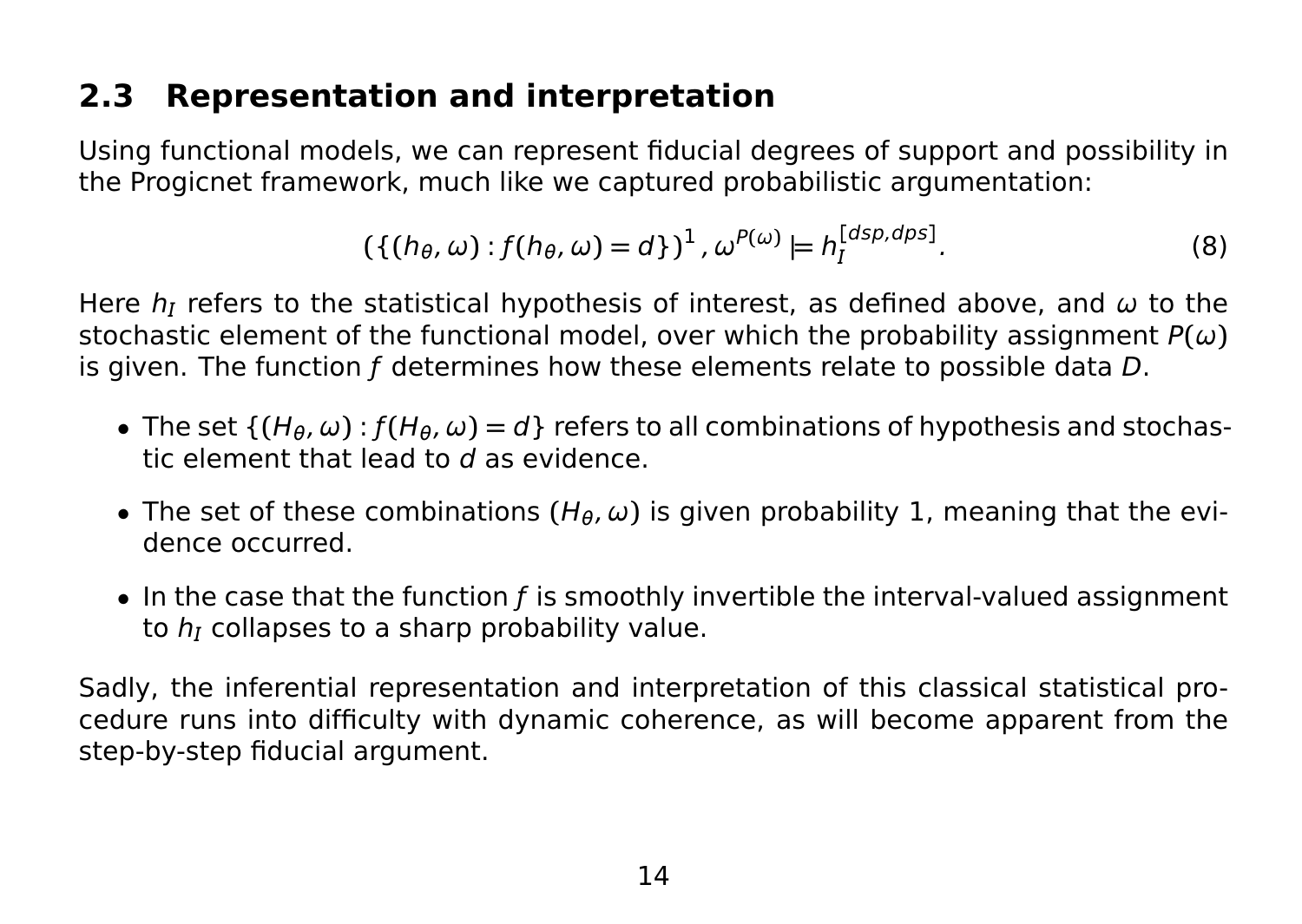# **2.3 Representation and interpretation**

Using functional models, we can represent fiducial degrees of support and possibility in the Progicnet framework, much like we captured probabilistic argumentation:

$$
(\{(h_{\theta}, \omega) : f(h_{\theta}, \omega) = d\})^{1}, \omega^{P(\omega)} \models h_{I}^{[dsp, dps]}.
$$
 (8)

Here  $h_I$  refers to the statistical hypothesis of interest, as defined above, and  $\omega$  to the stochastic element of the functional model, over which the probability assignment  $P(\omega)$ is given. The function f determines how these elements relate to possible data D.

- The set  $\{(H_{\theta}, \omega): f(H_{\theta}, \omega) = d\}$  refers to all combinations of hypothesis and stochastic element that lead to d as evidence.
- The set of these combinations  $(H_\theta, \omega)$  is given probability 1, meaning that the evidence occurred.
- $\bullet$  In the case that the function f is smoothly invertible the interval-valued assignment to  $h_I$  collapses to a sharp probability value.

Sadly, the inferential representation and interpretation of this classical statistical procedure runs into difficulty with dynamic coherence, as will become apparent from the step-by-step fiducial argument.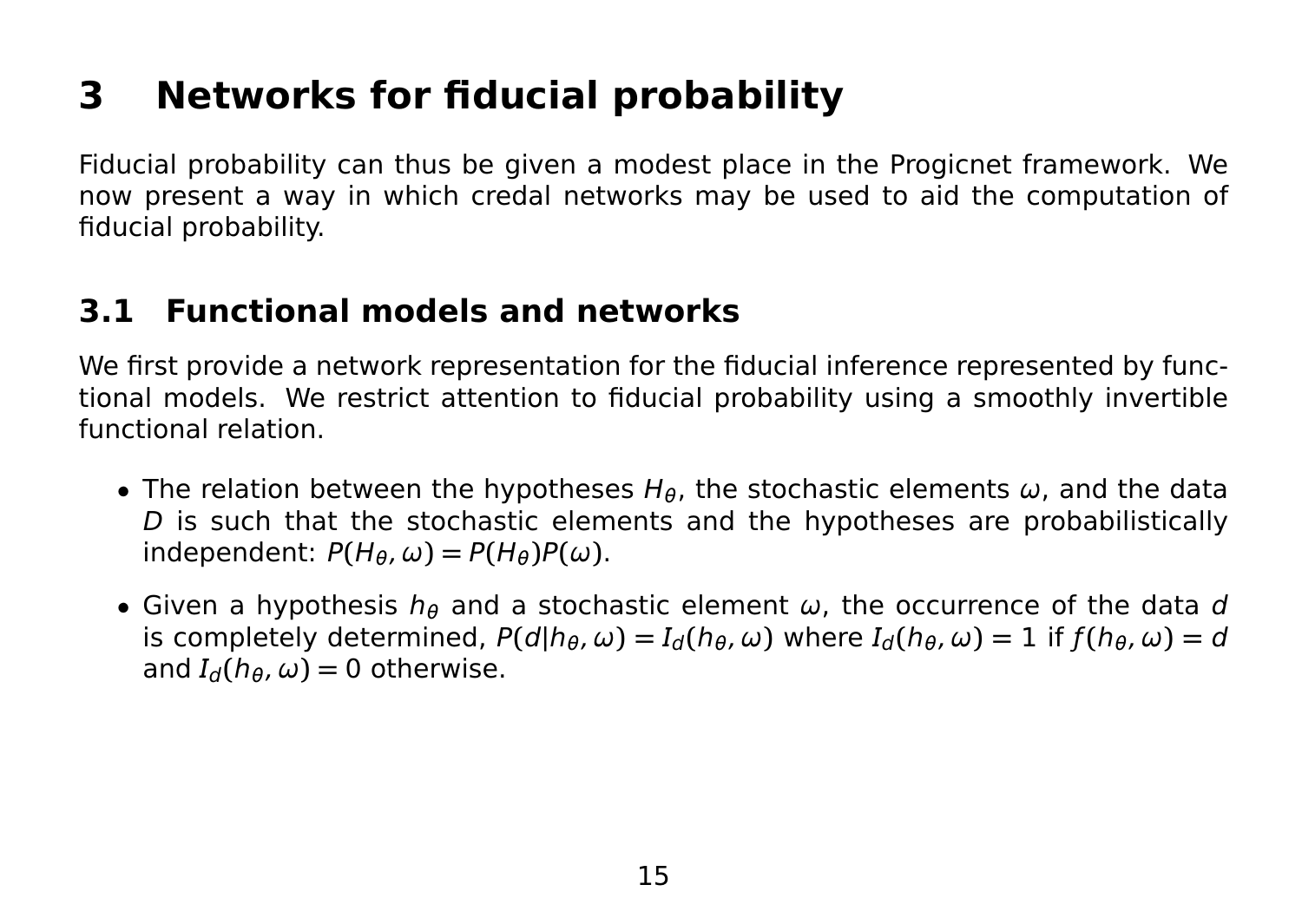# **3 Networks for fiducial probability**

Fiducial probability can thus be given a modest place in the Progicnet framework. We now present a way in which credal networks may be used to aid the computation of fiducial probability.

## **3.1 Functional models and networks**

We first provide a network representation for the fiducial inference represented by functional models. We restrict attention to fiducial probability using a smoothly invertible functional relation.

- The relation between the hypotheses  $H_{\theta}$ , the stochastic elements  $\omega$ , and the data D is such that the stochastic elements and the hypotheses are probabilistically  $P(H_{\theta}, \omega) = P(H_{\theta})P(\omega)$ .
- Given a hypothesis  $h_{\theta}$  and a stochastic element  $\omega$ , the occurrence of the data d is completely determined,  $P(d|h_{\theta}, \omega) = I_d(h_{\theta}, \omega)$  where  $I_d(h_{\theta}, \omega) = 1$  if  $f(h_{\theta}, \omega) = d$ and  $I_d(h_\theta, \omega) = 0$  otherwise.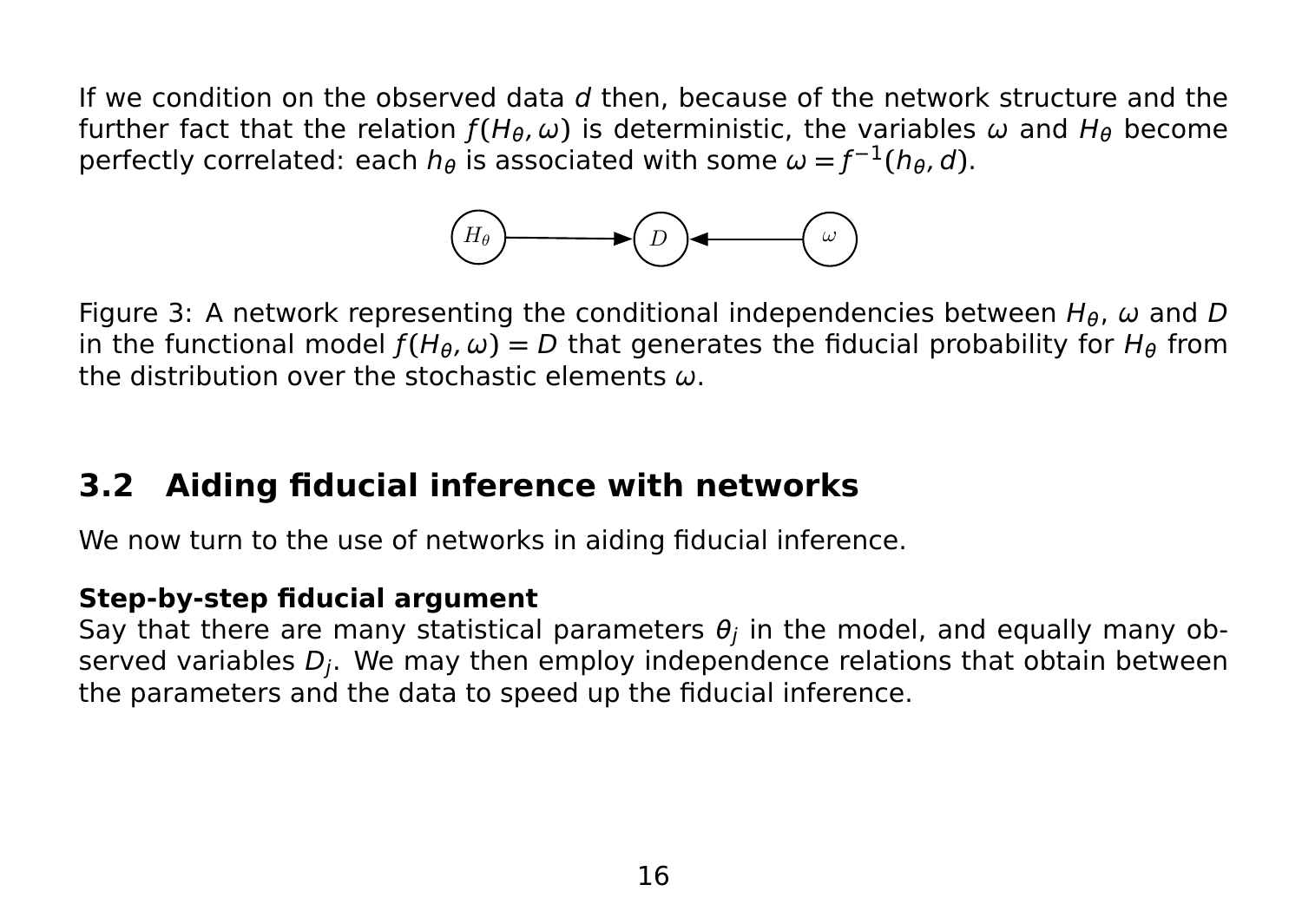If we condition on the observed data  $d$  then, because of the network structure and the further fact that the relation  $f(H_\theta, \omega)$  is deterministic, the variables  $\omega$  and  $H_\theta$  become perfectly correlated: each  $h_{\theta}$  is associated with some  $\omega = f^{-1}(h_{\theta}, d)$ .



Figure 3: A network representing the conditional independencies between  $H_{\theta}$ ,  $\omega$  and D in the functional model  $f(H_\theta, \omega) = D$  that generates the fiducial probability for  $H_\theta$  from the distribution over the stochastic elements ω.

## **3.2 Aiding fiducial inference with networks**

We now turn to the use of networks in aiding fiducial inference.

#### **Step-by-step fiducial argument**

Say that there are many statistical parameters  $\theta_j$  in the model, and equally many observed variables  $D_i$ . We may then employ independence relations that obtain between the parameters and the data to speed up the fiducial inference.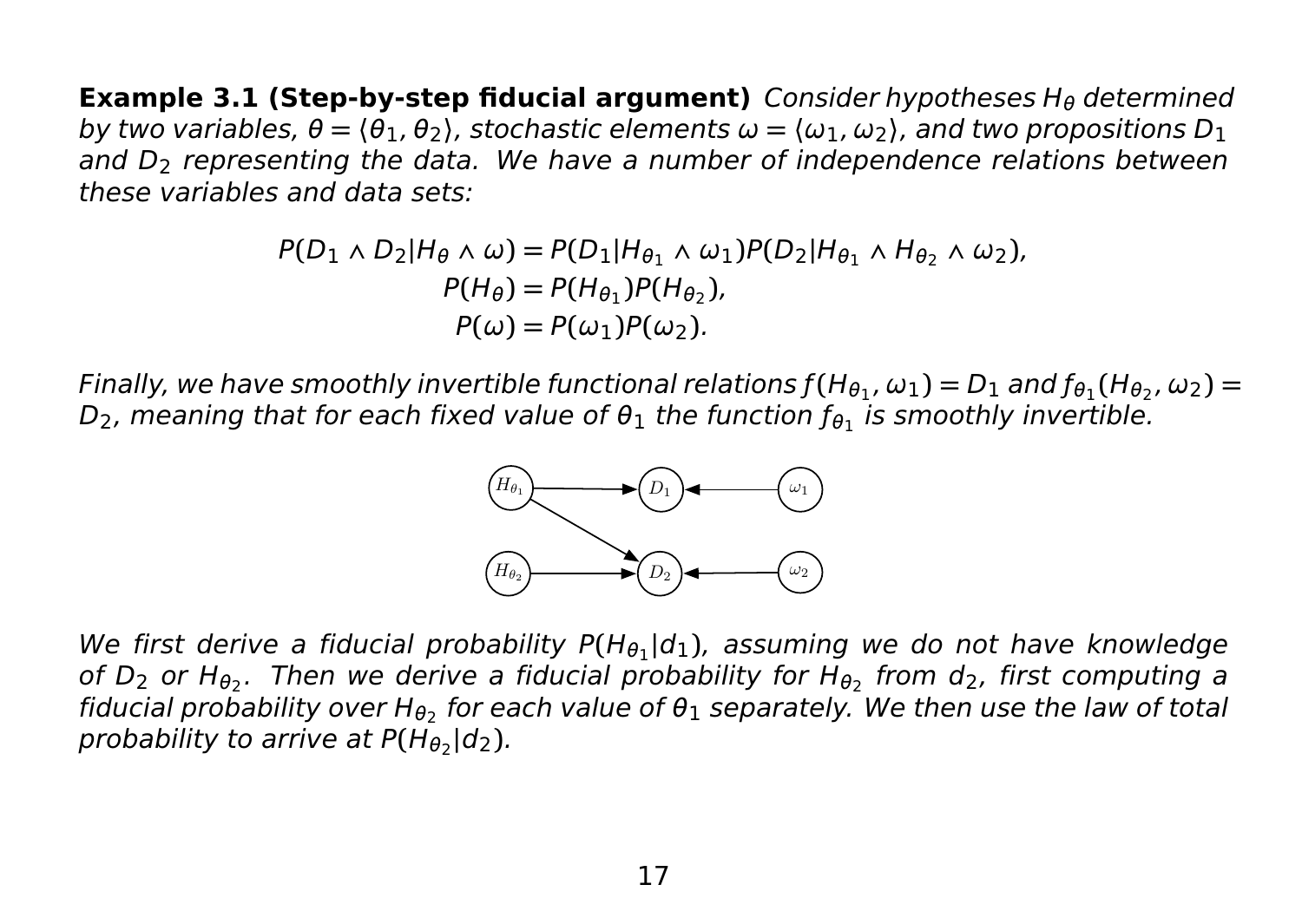**Example 3.1 (Step-by-step fiducial argument)** Consider hypotheses H<sub>θ</sub> determined by two variables, θ **= 〈**θ1, θ2**〉**, stochastic elements ω **= 〈**ω1, ω2**〉**, and two propositions D<sup>1</sup> and  $D<sub>2</sub>$  representing the data. We have a number of independence relations between these variables and data sets:

$$
P(D_1 \wedge D_2 | H_\theta \wedge \omega) = P(D_1 | H_{\theta_1} \wedge \omega_1) P(D_2 | H_{\theta_1} \wedge H_{\theta_2} \wedge \omega_2),
$$
  
\n
$$
P(H_\theta) = P(H_{\theta_1}) P(H_{\theta_2}),
$$
  
\n
$$
P(\omega) = P(\omega_1) P(\omega_2).
$$

Finally, we have smoothly invertible functional relations  $f(H_{\theta_1},\omega_1)=D_1$  and  $f_{\theta_1}(H_{\theta_2},\omega_2)=$ D $_2$ , meaning that for each fixed value of  $\theta_1$  the function  $f_{\theta_1}$  is smoothly invertible.



We first derive a fiducial probability P(H<sub>01</sub>|d<sub>1</sub>), assuming we do not have knowledge of D<sub>2</sub> or H<sub>θ2</sub>. Then we derive a fiducial probability for H<sub>θ2</sub> from d<sub>2</sub>, first computing a fiducial probability over H<sub>θ2</sub> for each value of  $\theta_1$  separately. We then use the law of total probability to arrive at  $P(\overline{H_{\theta}}_2 | d_2)$ .